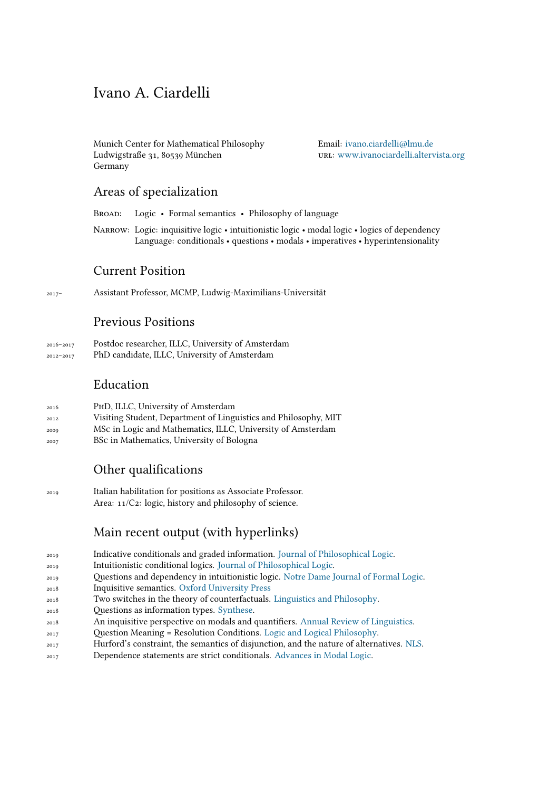# Ivano A. Ciardelli

Munich Center for Mathematical Philosophy Ludwigstraße 31, 80539 München Germany

Email: [ivano.ciardelli@lmu.de](mailto:ivano.ciardelli@lmu.de) url: [www.ivanociardelli.altervista.org](http://www.ivanociardelli.altervista.org)

## Areas of specialization

Broad: Logic • Formal semantics • Philosophy of language

Narrow: Logic: inquisitive logic • intuitionistic logic • modal logic • logics of dependency Language: conditionals • questions • modals • imperatives • hyperintensionality

# Current Position

2017– Assistant Professor, MCMP, Ludwig-Maximilians-Universität

## Previous Positions

2016–2017 Postdoc researcher, ILLC, University of Amsterdam 2012–2017 PhD candidate, ILLC, University of Amsterdam

## Education

- 2016 PhD, ILLC, University of Amsterdam
- 2012 Visiting Student, Department of Linguistics and Philosophy, MIT
- 2009 MSc in Logic and Mathematics, ILLC, University of Amsterdam
- 2007 BSc in Mathematics, University of Bologna

# Other qualifications

2019 Italian habilitation for positions as Associate Professor. Area:  $11/C2$ : logic, history and philosophy of science.

# Main recent output (with hyperlinks)

- <sup>2019</sup> Indicative conditionals and graded information. [Journal of Philosophical Logic.](https://link.springer.com/article/10.1007/s10992-019-09528-6)
- <sup>2019</sup> Intuitionistic conditional logics. [Journal of Philosophical Logic](https://link.springer.com/article/10.1007/s10992-019-09538-4).
- <sup>2019</sup> Questions and dependency in intuitionistic logic. [Notre Dame Journal of Formal Logic.](https://projecteuclid.org/euclid.ndjfl/1576638403)
- <sup>2018</sup> Inquisitive semantics. [Oxford University Press](https://global.oup.com/academic/product/inquisitive-semantics-9780198814788?cc=de&lang=en&)
- <sup>2018</sup> Two switches in the theory of counterfactuals. [Linguistics and Philosophy.](https://link.springer.com/article/10.1007/s10988-018-9232-4)
- <sup>2018</sup> Questions as information types. [Synthese](https://link.springer.com/article/10.1007/s11229-016-1221-y).
- <sup>2018</sup> An inquisitive perspective on modals and quantifiers. [Annual Review of Linguistics.](https://www.annualreviews.org/doi/abs/10.1146/annurev-linguistics-011817-045626)
- <sup>2017</sup> Question Meaning = Resolution Conditions. [Logic and Logical Philosophy.](http://apcz.umk.pl/czasopisma/index.php/LLP/article/view/LLP.2017.017)
- <sup>2017</sup> Hurford's constraint, the semantics of disjunction, and the nature of alternatives. [NLS](https://link.springer.com/article/10.1007/s11050-017-9134-y).
- <sup>2017</sup> Dependence statements are strict conditionals. [Advances in Modal Logic](http://www.aiml.net/volumes/volume12/Ciardelli.pdf).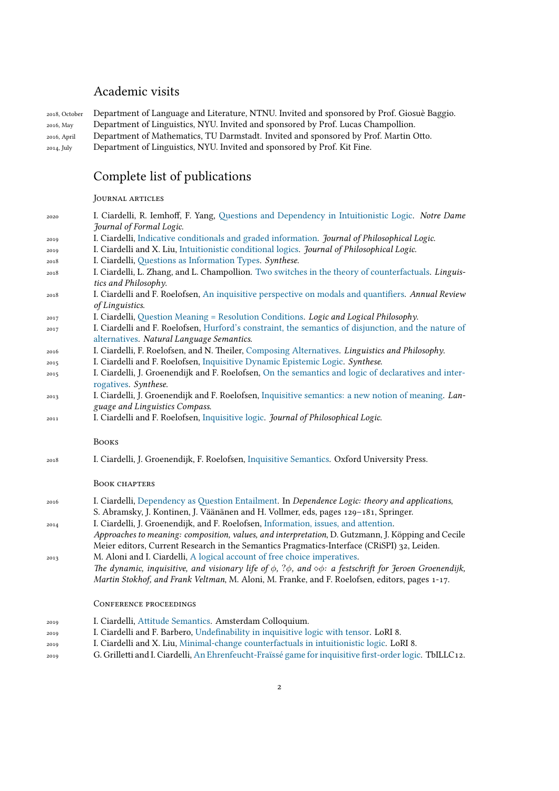# Academic visits

|             | 2018, October Department of Language and Literature, NTNU. Invited and sponsored by Prof. Giosuè Baggio. |
|-------------|----------------------------------------------------------------------------------------------------------|
| 2016, May   | Department of Linguistics, NYU. Invited and sponsored by Prof. Lucas Champollion.                        |
| 2016, April | Department of Mathematics, TU Darmstadt. Invited and sponsored by Prof. Martin Otto.                     |
| 2014, July  | Department of Linguistics, NYU. Invited and sponsored by Prof. Kit Fine.                                 |

# Complete list of publications

### Journal articles

| 2020 | I. Ciardelli, R. Iemhoff, F. Yang, Questions and Dependency in Intuitionistic Logic. Notre Dame                            |
|------|----------------------------------------------------------------------------------------------------------------------------|
|      | Journal of Formal Logic.                                                                                                   |
| 2019 | I. Ciardelli, Indicative conditionals and graded information. Journal of Philosophical Logic.                              |
| 2019 | I. Ciardelli and X. Liu, Intuitionistic conditional logics. Journal of Philosophical Logic.                                |
| 2018 | I. Ciardelli, Questions as Information Types. Synthese.                                                                    |
| 2018 | I. Ciardelli, L. Zhang, and L. Champollion. Two switches in the theory of counterfactuals. Linguis-                        |
|      | tics and Philosophy.                                                                                                       |
| 2018 | I. Ciardelli and F. Roelofsen, An inquisitive perspective on modals and quantifiers. Annual Review                         |
|      | of Linguistics.                                                                                                            |
| 2017 | I. Ciardelli, Question Meaning = Resolution Conditions. Logic and Logical Philosophy.                                      |
| 2017 | I. Ciardelli and F. Roelofsen, Hurford's constraint, the semantics of disjunction, and the nature of                       |
|      | alternatives. Natural Language Semantics.                                                                                  |
| 2016 | I. Ciardelli, F. Roelofsen, and N. Theiler, Composing Alternatives. Linguistics and Philosophy.                            |
| 2015 | I. Ciardelli and F. Roelofsen, Inquisitive Dynamic Epistemic Logic. Synthese.                                              |
| 2015 | I. Ciardelli, J. Groenendijk and F. Roelofsen, On the semantics and logic of declaratives and inter-                       |
|      | rogatives. Synthese.                                                                                                       |
| 2013 | I. Ciardelli, J. Groenendijk and F. Roelofsen, Inquisitive semantics: a new notion of meaning. Lan-                        |
|      | guage and Linguistics Compass.                                                                                             |
| 2011 | I. Ciardelli and F. Roelofsen, Inquisitive logic. Journal of Philosophical Logic.                                          |
|      |                                                                                                                            |
|      | <b>BOOKS</b>                                                                                                               |
| 2018 | I. Ciardelli, J. Groenendijk, F. Roelofsen, Inquisitive Semantics. Oxford University Press.                                |
|      |                                                                                                                            |
|      | <b>BOOK CHAPTERS</b>                                                                                                       |
| 2016 | I. Ciardelli, Dependency as Question Entailment. In Dependence Logic: theory and applications,                             |
|      | S. Abramsky, J. Kontinen, J. Väänänen and H. Vollmer, eds, pages 129-181, Springer.                                        |
| 2014 | I. Ciardelli, J. Groenendijk, and F. Roelofsen, Information, issues, and attention.                                        |
|      | Approaches to meaning: composition, values, and interpretation, D. Gutzmann, J. Köpping and Cecile                         |
|      | Meier editors, Current Research in the Semantics Pragmatics-Interface (CRiSPI) 32, Leiden.                                 |
| 2013 | M. Aloni and I. Ciardelli, A logical account of free choice imperatives.                                                   |
|      | The dynamic, inquisitive, and visionary life of $\phi$ , ? $\phi$ , and $\phi\phi$ : a festschrift for Jeroen Groenendijk, |
|      | Martin Stokhof, and Frank Veltman, M. Aloni, M. Franke, and F. Roelofsen, editors, pages 1-17.                             |
|      |                                                                                                                            |

## Conference proceedings

- <sup>2019</sup> I. Ciardelli, Attitude Semantics. Amsterdam Colloquium.
- <sup>2019</sup> I. Ciardelli and F. Barbero, Undefinability in inquisitive logic with tensor. LoRI 8.
- <sup>2019</sup> I. Ciardelli and X. Liu, Minimal-change counterfactuals in intuitionistic logic. LoRI 8.
- <sup>2019</sup> G. Grilletti and I. Ciardelli, An Ehrenfeucht-Fraïssé game for inquisitive first-order logic. TbILLC12.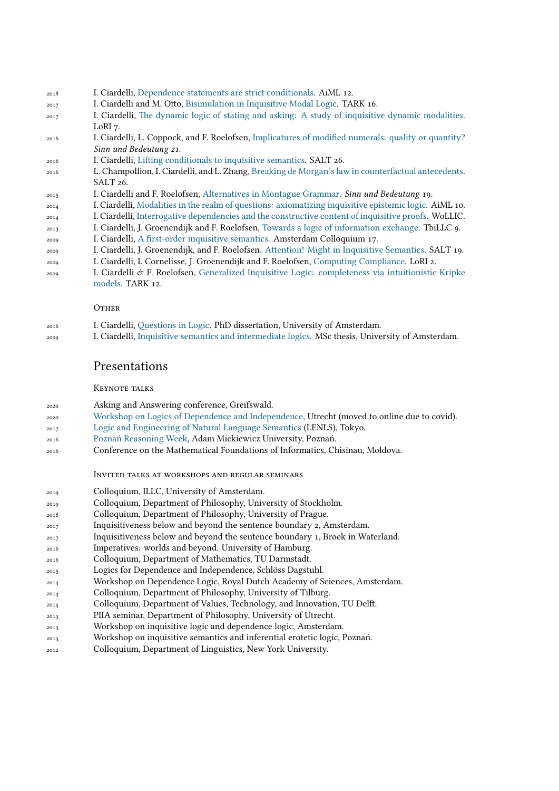- I. Ciardelli, Dependence statements are strict conditionals. AiML 12.
- I. Ciardelli and M. Otto, Bisimulation in Inquisitive Modal Logic. TARK 16.
- I. Ciardelli, The dynamic logic of stating and asking: A study of inquisitive dynamic modalities. LoRI 7.
- I. Ciardelli, L. Coppock, and F. Roelofsen, Implicatures of modified numerals: quality or quantity? *Sinn und Bedeutung 21*.
- I. Ciardelli, Lifting conditionals to inquisitive semantics. SALT 26.
- L. Champollion, I. Ciardelli, and L. Zhang, Breaking de Morgan's law in counterfactual antecedents. SALT 26.
- I. Ciardelli and F. Roelofsen, Alternatives in Montague Grammar. *Sinn und Bedeutung* 19.
- I. Ciardelli, Modalities in the realm of questions: axiomatizing inquisitive epistemic logic. AiML 10.
- I. Ciardelli, Interrogative dependencies and the constructive content of inquisitive proofs. WoLLIC.
- I. Ciardelli, J. Groenendijk and F. Roelofsen, Towards a logic of information exchange. TbiLLC 9.
- I. Ciardelli, A first-order inquisitive semantics. Amsterdam Colloquium 17.
- I. Ciardelli, J. Groenendijk, and F. Roelofsen. Attention! Might in Inquisitive Semantics. SALT 19.
- I. Ciardelli, I. Cornelisse, J. Groenendijk and F. Roelofsen, Computing Compliance. LoRI 2.
- I. Ciardelli  $\mathcal{O}$  F. Roelofsen, Generalized Inquisitive Logic: completeness via intuitionistic Kripke models. TARK 12.

#### OTHER

- I. Ciardelli, Questions in Logic. PhD dissertation, University of Amsterdam.
- I. Ciardelli, Inquisitive semantics and intermediate logics. MSc thesis, University of Amsterdam.

## Presentations

#### Keynote talks

- Asking and Answering conference, Greifswald.
- [Workshop on Logics of Dependence and Independence,](http://www.math.helsinki.fi/logic/LoDE2020/) Utrecht (moved to online due to covid).
- [Logic and Engineering of Natural Language Semantics](http://www.is.ocha.ac.jp/~bekki/lenls/lenls14/index.html) (LENLS), Tokyo.
- [Poznań Reasoning Week,](https://poznanreasoningweek.wordpress.com/previous/poznan-reasoning-week-2016/prw-2016-events/questpro-2016/) Adam Mickiewicz University, Poznań.
- Conference on the Mathematical Foundations of Informatics, Chisinau, Moldova.

Invited talks at workshops and regular seminars

- Colloquium, ILLC, University of Amsterdam.
- Colloquium, Department of Philosophy, University of Stockholm.
- Colloquium, Department of Philosophy, University of Prague.
- $_{2017}$  Inquisitiveness below and beyond the sentence boundary 2, Amsterdam.
- Inquisitiveness below and beyond the sentence boundary 1, Broek in Waterland.
- Imperatives: worlds and beyond. University of Hamburg.
- Colloquium, Department of Mathematics, TU Darmstadt.
- Logics for Dependence and Independence, Schlöss Dagstuhl.
- Workshop on Dependence Logic, Royal Dutch Academy of Sciences, Amsterdam.
- Colloquium, Department of Philosophy, University of Tilburg.
- Colloquium, Department of Values, Technology, and Innovation, TU Delft.
- PIIA seminar, Department of Philosophy, University of Utrecht.
- Workshop on inquisitive logic and dependence logic, Amsterdam.
- Workshop on inquisitive semantics and inferential erotetic logic, Poznań.
- Colloquium, Department of Linguistics, New York University.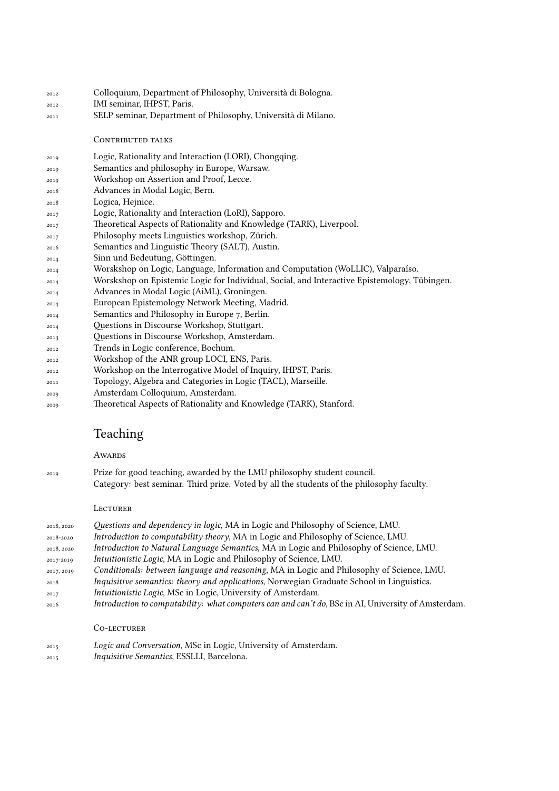- Colloquium, Department of Philosophy, Università di Bologna.
- IMI seminar, IHPST, Paris.
- SELP seminar, Department of Philosophy, Università di Milano.

### CONTRIBUTED TALKS

- Logic, Rationality and Interaction (LORI), Chongqing.
- Semantics and philosophy in Europe, Warsaw.
- Workshop on Assertion and Proof, Lecce.
- Advances in Modal Logic, Bern.
- Logica, Hejnice.
- Logic, Rationality and Interaction (LoRI), Sapporo.
- Theoretical Aspects of Rationality and Knowledge (TARK), Liverpool.
- Philosophy meets Linguistics workshop, Zürich.
- Semantics and Linguistic Theory (SALT), Austin.
- Sinn und Bedeutung, Göttingen.
- Worskshop on Logic, Language, Information and Computation (WoLLIC), Valparaíso.
- Worskshop on Epistemic Logic for Individual, Social, and Interactive Epistemology, Tübingen.
- Advances in Modal Logic (AiML), Groningen.
- European Epistemology Network Meeting, Madrid.
- Semantics and Philosophy in Europe 7, Berlin.
- Questions in Discourse Workshop, Stuttgart.
- Questions in Discourse Workshop, Amsterdam.
- Trends in Logic conference, Bochum.
- Workshop of the ANR group LOCI, ENS, Paris.
- Workshop on the Interrogative Model of Inquiry, IHPST, Paris.
- Topology, Algebra and Categories in Logic (TACL), Marseille.
- Amsterdam Colloquium, Amsterdam.
- Theoretical Aspects of Rationality and Knowledge (TARK), Stanford.

# Teaching

## **AWARDS**

- 
- Prize for good teaching, awarded by the LMU philosophy student council. Category: best seminar. Third prize. Voted by all the students of the philosophy faculty.

## **LECTURER**

| 2018, 2020 | Questions and dependency in logic, MA in Logic and Philosophy of Science, LMU.                             |
|------------|------------------------------------------------------------------------------------------------------------|
| 2018-2020  | Introduction to computability theory, MA in Logic and Philosophy of Science, LMU.                          |
| 2018, 2020 | Introduction to Natural Language Semantics, MA in Logic and Philosophy of Science, LMU.                    |
| 2017-2019  | Intuitionistic Logic, MA in Logic and Philosophy of Science, LMU.                                          |
| 2017, 2019 | Conditionals: between language and reasoning, MA in Logic and Philosophy of Science, LMU.                  |
| 2018       | Inquisitive semantics: theory and applications, Norwegian Graduate School in Linguistics.                  |
| 2017       | Intuitionistic Logic, MSc in Logic, University of Amsterdam.                                               |
| 2016       | Introduction to computability: what computers can and can't do, BSc in AI, University of Amsterdam.        |
|            | CO-LECTURER                                                                                                |
| 2015       | Logic and Conversation, MSc in Logic, University of Amsterdam.<br>In quisiting Computies FCCLLI Demography |

*Inquisitive Semantics*, ESSLLI, Barcelona.